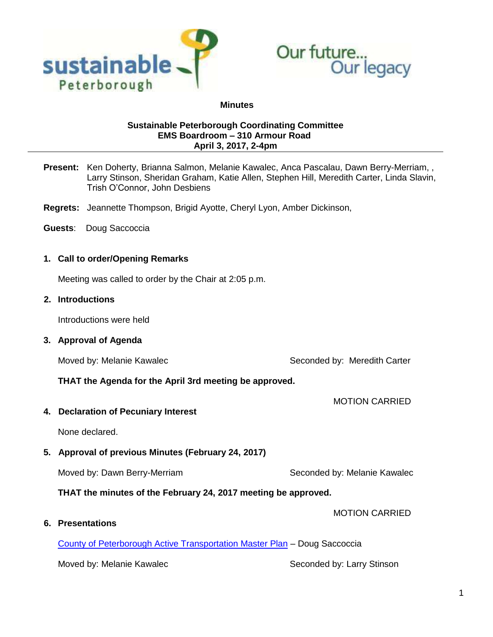



#### **Minutes**

### **Sustainable Peterborough Coordinating Committee EMS Boardroom – 310 Armour Road April 3, 2017, 2-4pm**

- **Present:** Ken Doherty, Brianna Salmon, Melanie Kawalec, Anca Pascalau, Dawn Berry-Merriam, , Larry Stinson, Sheridan Graham, Katie Allen, Stephen Hill, Meredith Carter, Linda Slavin, Trish O'Connor, John Desbiens
- **Regrets:** Jeannette Thompson, Brigid Ayotte, Cheryl Lyon, Amber Dickinson,
- **Guests**: Doug Saccoccia

## **1. Call to order/Opening Remarks**

Meeting was called to order by the Chair at 2:05 p.m.

 **2. Introductions**

Introductions were held

**3. Approval of Agenda**

Moved by: Melanie Kawalec Newslett Carter Seconded by: Meredith Carter

MOTION CARRIED

MOTION CARRIED

**THAT the Agenda for the April 3rd meeting be approved.**

**4. Declaration of Pecuniary Interest**

None declared.

**5. Approval of previous Minutes (February 24, 2017)**

Moved by: Dawn Berry-Merriam Seconded by: Melanie Kawalec

**THAT the minutes of the February 24, 2017 meeting be approved.**

**6. Presentations**

[County of Peterborough Active Transportation Master Plan](http://sustainablepeterborough.ca/wp-content/uploads/2017/03/April-3-17-ATMP-Update-Sustainable-PTBO.pdf) – Doug Saccoccia

Moved by: Melanie Kawalec Newslett Seconded by: Larry Stinson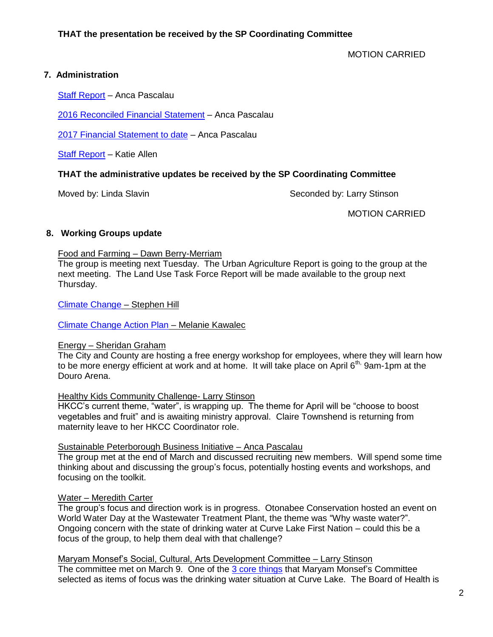MOTION CARRIED

# **7. Administration**

[Staff Report](http://sustainablepeterborough.ca/wp-content/uploads/2017/03/Staff-Report-Apr-3-Anca.pdf) – Anca Pascalau

[2016 Reconciled Financial Statement](http://sustainablepeterborough.ca/wp-content/uploads/2017/03/2016-financial-statement-RECONCILED.pdf) – Anca Pascalau

[2017 Financial Statement to date](http://sustainablepeterborough.ca/wp-content/uploads/2017/03/2017-financial-statement-to-March-29.pdf) – Anca Pascalau

[Staff Report](http://sustainablepeterborough.ca/wp-content/uploads/2017/03/Partnership-April-3.pdf) – Katie Allen

## **THAT the administrative updates be received by the SP Coordinating Committee**

Moved by: Linda Slavin Seconded by: Larry Stinson

MOTION CARRIED

### **8. Working Groups update**

### Food and Farming – Dawn Berry-Merriam

The group is meeting next Tuesday. The Urban Agriculture Report is going to the group at the next meeting. The Land Use Task Force Report will be made available to the group next Thursday.

[Climate Change](http://sustainablepeterborough.ca/wp-content/uploads/2017/03/Community-CCWG-Meeting-Minutes-February-16-2017.pdf) – Stephen Hill

[Climate Change Action Plan](http://sustainablepeterborough.ca/wp-content/uploads/2017/03/Local-Government-CCWG-Meeting-Minutes-February-17-2017.pdf) – Melanie Kawalec

#### Energy – Sheridan Graham

The City and County are hosting a free energy workshop for employees, where they will learn how to be more energy efficient at work and at home. It will take place on April 6<sup>th,</sup> 9am-1pm at the Douro Arena.

#### Healthy Kids Community Challenge- Larry Stinson

HKCC's current theme, "water", is wrapping up. The theme for April will be "choose to boost vegetables and fruit" and is awaiting ministry approval. Claire Townshend is returning from maternity leave to her HKCC Coordinator role.

#### Sustainable Peterborough Business Initiative – Anca Pascalau

The group met at the end of March and discussed recruiting new members. Will spend some time thinking about and discussing the group's focus, potentially hosting events and workshops, and focusing on the toolkit.

#### Water – Meredith Carter

The group's focus and direction work is in progress. Otonabee Conservation hosted an event on World Water Day at the Wastewater Treatment Plant, the theme was "Why waste water?". Ongoing concern with the state of drinking water at Curve Lake First Nation – could this be a focus of the group, to help them deal with that challenge?

Maryam Monsef's Social, Cultural, Arts Development Committee – Larry Stinson The committee met on March 9. One of the 3 [core things](http://sustainablepeterborough.ca/wp-content/uploads/2016/02/Draft-Notes-health-environment-people.pdf) that Maryam Monsef's Committee selected as items of focus was the drinking water situation at Curve Lake. The Board of Health is